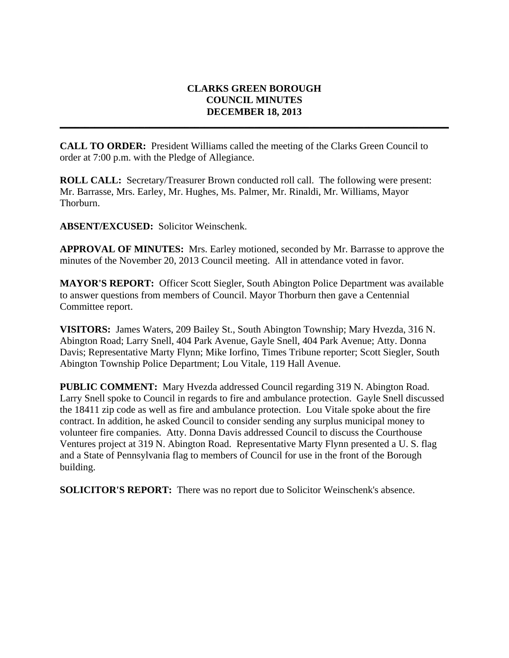## **CLARKS GREEN BOROUGH COUNCIL MINUTES DECEMBER 18, 2013**

**\_\_\_\_\_\_\_\_\_\_\_\_\_\_\_\_\_\_\_\_\_\_\_\_\_\_\_\_\_\_\_\_\_\_\_\_\_\_\_\_\_\_\_\_\_\_\_\_\_\_\_\_\_\_\_\_\_\_\_\_\_\_\_\_\_\_\_\_\_\_\_\_\_\_\_\_\_\_**

**CALL TO ORDER:** President Williams called the meeting of the Clarks Green Council to order at 7:00 p.m. with the Pledge of Allegiance.

**ROLL CALL:** Secretary/Treasurer Brown conducted roll call. The following were present: Mr. Barrasse, Mrs. Earley, Mr. Hughes, Ms. Palmer, Mr. Rinaldi, Mr. Williams, Mayor Thorburn.

**ABSENT/EXCUSED:** Solicitor Weinschenk.

**APPROVAL OF MINUTES:** Mrs. Earley motioned, seconded by Mr. Barrasse to approve the minutes of the November 20, 2013 Council meeting. All in attendance voted in favor.

**MAYOR'S REPORT:** Officer Scott Siegler, South Abington Police Department was available to answer questions from members of Council. Mayor Thorburn then gave a Centennial Committee report.

**VISITORS:** James Waters, 209 Bailey St., South Abington Township; Mary Hvezda, 316 N. Abington Road; Larry Snell, 404 Park Avenue, Gayle Snell, 404 Park Avenue; Atty. Donna Davis; Representative Marty Flynn; Mike Iorfino, Times Tribune reporter; Scott Siegler, South Abington Township Police Department; Lou Vitale, 119 Hall Avenue.

**PUBLIC COMMENT:** Mary Hvezda addressed Council regarding 319 N. Abington Road. Larry Snell spoke to Council in regards to fire and ambulance protection. Gayle Snell discussed the 18411 zip code as well as fire and ambulance protection. Lou Vitale spoke about the fire contract. In addition, he asked Council to consider sending any surplus municipal money to volunteer fire companies. Atty. Donna Davis addressed Council to discuss the Courthouse Ventures project at 319 N. Abington Road. Representative Marty Flynn presented a U. S. flag and a State of Pennsylvania flag to members of Council for use in the front of the Borough building.

**SOLICITOR'S REPORT:** There was no report due to Solicitor Weinschenk's absence.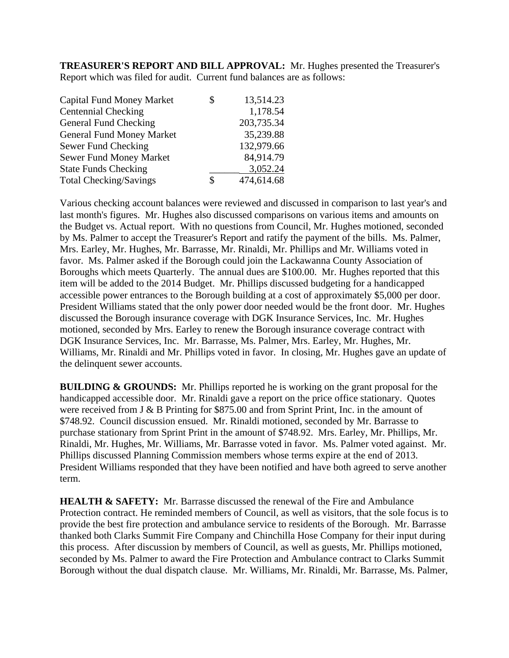**TREASURER'S REPORT AND BILL APPROVAL:** Mr. Hughes presented the Treasurer's Report which was filed for audit. Current fund balances are as follows:

| S | 13,514.23  |
|---|------------|
|   | 1,178.54   |
|   | 203,735.34 |
|   | 35,239.88  |
|   | 132,979.66 |
|   | 84,914.79  |
|   | 3,052.24   |
| S | 474,614.68 |
|   |            |

Various checking account balances were reviewed and discussed in comparison to last year's and last month's figures. Mr. Hughes also discussed comparisons on various items and amounts on the Budget vs. Actual report. With no questions from Council, Mr. Hughes motioned, seconded by Ms. Palmer to accept the Treasurer's Report and ratify the payment of the bills. Ms. Palmer, Mrs. Earley, Mr. Hughes, Mr. Barrasse, Mr. Rinaldi, Mr. Phillips and Mr. Williams voted in favor. Ms. Palmer asked if the Borough could join the Lackawanna County Association of Boroughs which meets Quarterly. The annual dues are \$100.00. Mr. Hughes reported that this item will be added to the 2014 Budget. Mr. Phillips discussed budgeting for a handicapped accessible power entrances to the Borough building at a cost of approximately \$5,000 per door. President Williams stated that the only power door needed would be the front door. Mr. Hughes discussed the Borough insurance coverage with DGK Insurance Services, Inc. Mr. Hughes motioned, seconded by Mrs. Earley to renew the Borough insurance coverage contract with DGK Insurance Services, Inc. Mr. Barrasse, Ms. Palmer, Mrs. Earley, Mr. Hughes, Mr. Williams, Mr. Rinaldi and Mr. Phillips voted in favor. In closing, Mr. Hughes gave an update of the delinquent sewer accounts.

**BUILDING & GROUNDS:** Mr. Phillips reported he is working on the grant proposal for the handicapped accessible door. Mr. Rinaldi gave a report on the price office stationary. Quotes were received from J & B Printing for \$875.00 and from Sprint Print, Inc. in the amount of \$748.92. Council discussion ensued. Mr. Rinaldi motioned, seconded by Mr. Barrasse to purchase stationary from Sprint Print in the amount of \$748.92. Mrs. Earley, Mr. Phillips, Mr. Rinaldi, Mr. Hughes, Mr. Williams, Mr. Barrasse voted in favor. Ms. Palmer voted against. Mr. Phillips discussed Planning Commission members whose terms expire at the end of 2013. President Williams responded that they have been notified and have both agreed to serve another term.

**HEALTH & SAFETY:** Mr. Barrasse discussed the renewal of the Fire and Ambulance Protection contract. He reminded members of Council, as well as visitors, that the sole focus is to provide the best fire protection and ambulance service to residents of the Borough. Mr. Barrasse thanked both Clarks Summit Fire Company and Chinchilla Hose Company for their input during this process. After discussion by members of Council, as well as guests, Mr. Phillips motioned, seconded by Ms. Palmer to award the Fire Protection and Ambulance contract to Clarks Summit Borough without the dual dispatch clause. Mr. Williams, Mr. Rinaldi, Mr. Barrasse, Ms. Palmer,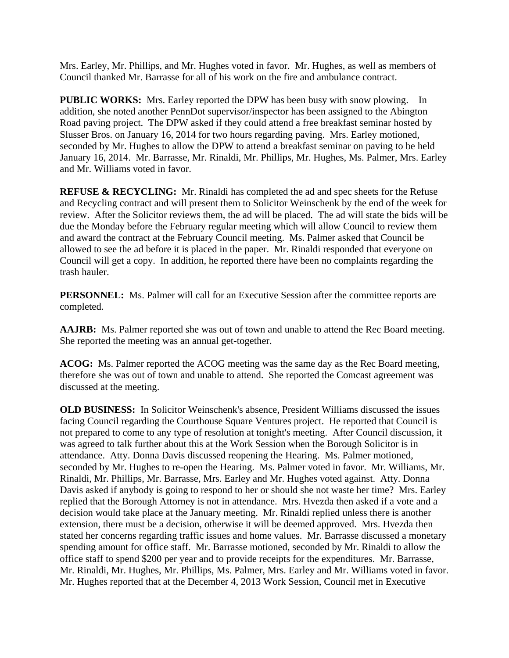Mrs. Earley, Mr. Phillips, and Mr. Hughes voted in favor. Mr. Hughes, as well as members of Council thanked Mr. Barrasse for all of his work on the fire and ambulance contract.

**PUBLIC WORKS:** Mrs. Earley reported the DPW has been busy with snow plowing. In addition, she noted another PennDot supervisor/inspector has been assigned to the Abington Road paving project. The DPW asked if they could attend a free breakfast seminar hosted by Slusser Bros. on January 16, 2014 for two hours regarding paving. Mrs. Earley motioned, seconded by Mr. Hughes to allow the DPW to attend a breakfast seminar on paving to be held January 16, 2014. Mr. Barrasse, Mr. Rinaldi, Mr. Phillips, Mr. Hughes, Ms. Palmer, Mrs. Earley and Mr. Williams voted in favor.

**REFUSE & RECYCLING:** Mr. Rinaldi has completed the ad and spec sheets for the Refuse and Recycling contract and will present them to Solicitor Weinschenk by the end of the week for review. After the Solicitor reviews them, the ad will be placed. The ad will state the bids will be due the Monday before the February regular meeting which will allow Council to review them and award the contract at the February Council meeting. Ms. Palmer asked that Council be allowed to see the ad before it is placed in the paper. Mr. Rinaldi responded that everyone on Council will get a copy. In addition, he reported there have been no complaints regarding the trash hauler.

**PERSONNEL:** Ms. Palmer will call for an Executive Session after the committee reports are completed.

**AAJRB:** Ms. Palmer reported she was out of town and unable to attend the Rec Board meeting. She reported the meeting was an annual get-together.

**ACOG:** Ms. Palmer reported the ACOG meeting was the same day as the Rec Board meeting, therefore she was out of town and unable to attend. She reported the Comcast agreement was discussed at the meeting.

**OLD BUSINESS:** In Solicitor Weinschenk's absence, President Williams discussed the issues facing Council regarding the Courthouse Square Ventures project. He reported that Council is not prepared to come to any type of resolution at tonight's meeting. After Council discussion, it was agreed to talk further about this at the Work Session when the Borough Solicitor is in attendance. Atty. Donna Davis discussed reopening the Hearing. Ms. Palmer motioned, seconded by Mr. Hughes to re-open the Hearing. Ms. Palmer voted in favor. Mr. Williams, Mr. Rinaldi, Mr. Phillips, Mr. Barrasse, Mrs. Earley and Mr. Hughes voted against. Atty. Donna Davis asked if anybody is going to respond to her or should she not waste her time? Mrs. Earley replied that the Borough Attorney is not in attendance. Mrs. Hvezda then asked if a vote and a decision would take place at the January meeting. Mr. Rinaldi replied unless there is another extension, there must be a decision, otherwise it will be deemed approved. Mrs. Hvezda then stated her concerns regarding traffic issues and home values. Mr. Barrasse discussed a monetary spending amount for office staff. Mr. Barrasse motioned, seconded by Mr. Rinaldi to allow the office staff to spend \$200 per year and to provide receipts for the expenditures. Mr. Barrasse, Mr. Rinaldi, Mr. Hughes, Mr. Phillips, Ms. Palmer, Mrs. Earley and Mr. Williams voted in favor. Mr. Hughes reported that at the December 4, 2013 Work Session, Council met in Executive